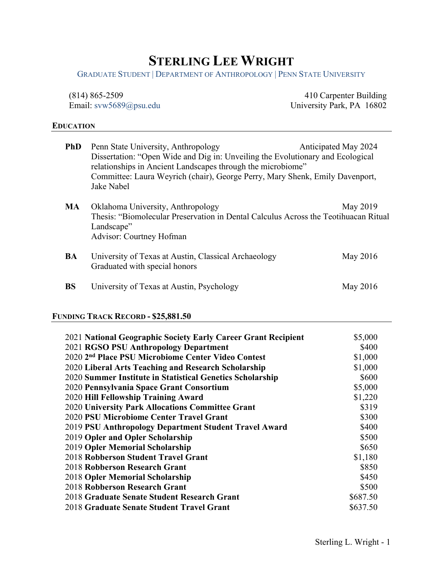# **STERLING LEE WRIGHT**

GRADUATE STUDENT | DEPARTMENT OF ANTHROPOLOGY | PENN STATE UNIVERSITY

| $(814)$ 865-2509         | 410 Carpenter Building    |
|--------------------------|---------------------------|
| Email: $sws5689@psu.edu$ | University Park, PA 16802 |

# **EDUCATION**

| <b>PhD</b> | Penn State University, Anthropology<br>Dissertation: "Open Wide and Dig in: Unveiling the Evolutionary and Ecological<br>relationships in Ancient Landscapes through the microbiome"<br>Committee: Laura Weyrich (chair), George Perry, Mary Shenk, Emily Davenport,<br>Jake Nabel | Anticipated May 2024 |
|------------|------------------------------------------------------------------------------------------------------------------------------------------------------------------------------------------------------------------------------------------------------------------------------------|----------------------|
| MA         | Oklahoma University, Anthropology<br>Thesis: "Biomolecular Preservation in Dental Calculus Across the Teotihuacan Ritual<br>Landscape"<br><b>Advisor: Courtney Hofman</b>                                                                                                          | May 2019             |
| <b>BA</b>  | University of Texas at Austin, Classical Archaeology<br>Graduated with special honors                                                                                                                                                                                              | May 2016             |
| <b>BS</b>  | University of Texas at Austin, Psychology                                                                                                                                                                                                                                          | May 2016             |

# **FUNDING TRACK RECORD - \$25,881.50**

| 2021 National Geographic Society Early Career Grant Recipient  | \$5,000  |
|----------------------------------------------------------------|----------|
| 2021 RGSO PSU Anthropology Department                          | \$400    |
| 2020 2 <sup>nd</sup> Place PSU Microbiome Center Video Contest | \$1,000  |
| 2020 Liberal Arts Teaching and Research Scholarship            | \$1,000  |
| 2020 Summer Institute in Statistical Genetics Scholarship      | \$600    |
| 2020 Pennsylvania Space Grant Consortium                       | \$5,000  |
| 2020 Hill Fellowship Training Award                            | \$1,220  |
| 2020 University Park Allocations Committee Grant               | \$319    |
| 2020 PSU Microbiome Center Travel Grant                        | \$300    |
| 2019 PSU Anthropology Department Student Travel Award          | \$400    |
| 2019 Opler and Opler Scholarship                               | \$500    |
| 2019 Opler Memorial Scholarship                                | \$650    |
| 2018 Robberson Student Travel Grant                            | \$1,180  |
| 2018 Robberson Research Grant                                  | \$850    |
| 2018 Opler Memorial Scholarship                                | \$450    |
| 2018 Robberson Research Grant                                  | \$500    |
| 2018 Graduate Senate Student Research Grant                    | \$687.50 |
| 2018 Graduate Senate Student Travel Grant                      | \$637.50 |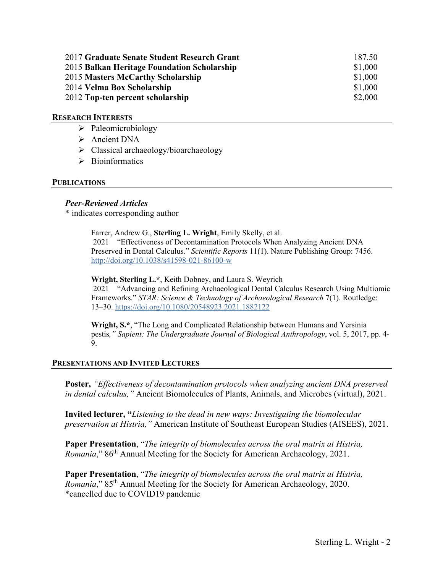| 2017 Graduate Senate Student Research Grant | 187.50  |
|---------------------------------------------|---------|
| 2015 Balkan Heritage Foundation Scholarship | \$1,000 |
| 2015 Masters McCarthy Scholarship           | \$1,000 |
| 2014 Velma Box Scholarship                  | \$1,000 |
| 2012 Top-ten percent scholarship            | \$2,000 |

# **RESEARCH INTERESTS**

- $\triangleright$  Paleomicrobiology
- > Ancient DNA
- $\triangleright$  Classical archaeology/bioarchaeology
- $\triangleright$  Bioinformatics

# **PUBLICATIONS**

# *Peer-Reviewed Articles*

\* indicates corresponding author

Farrer, Andrew G., **Sterling L. Wright**, Emily Skelly, et al. 2021 "Effectiveness of Decontamination Protocols When Analyzing Ancient DNA Preserved in Dental Calculus." *Scientific Reports* 11(1). Nature Publishing Group: 7456. <http://doi.org/10.1038/s41598-021-86100-w>

**Wright, Sterling L.\***, Keith Dobney, and Laura S. Weyrich 2021 "Advancing and Refining Archaeological Dental Calculus Research Using Multiomic Frameworks*.*" *STAR: Science & Technology of Archaeological Research* 7(1). Routledge: 13–30.<https://doi.org/10.1080/20548923.2021.1882122>

**Wright, S.\***, "The Long and Complicated Relationship between Humans and Yersinia pestis*," Sapient: The Undergraduate Journal of Biological Anthropology*, vol. 5, 2017, pp. 4- 9.

# **PRESENTATIONS AND INVITED LECTURES**

**Poster,** *"Effectiveness of decontamination protocols when analyzing ancient DNA preserved in dental calculus,"* Ancient Biomolecules of Plants, Animals, and Microbes (virtual), 2021.

**Invited lecturer, "***Listening to the dead in new ways: Investigating the biomolecular preservation at Histria,"* American Institute of Southeast European Studies (AISEES), 2021.

**Paper Presentation**, "*The integrity of biomolecules across the oral matrix at Histria, Romania*," 86<sup>th</sup> Annual Meeting for the Society for American Archaeology, 2021.

**Paper Presentation**, "*The integrity of biomolecules across the oral matrix at Histria, Romania*," 85<sup>th</sup> Annual Meeting for the Society for American Archaeology, 2020. \*cancelled due to COVID19 pandemic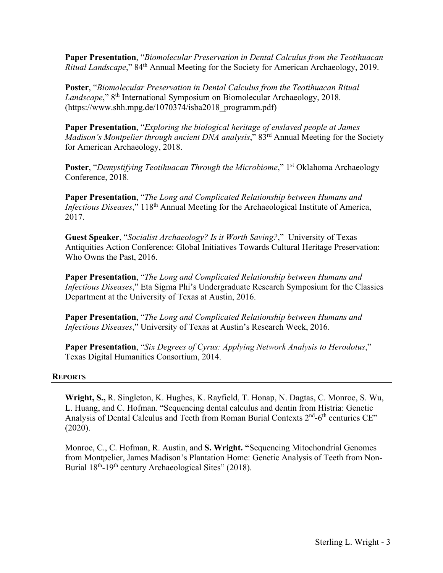**Paper Presentation**, "*Biomolecular Preservation in Dental Calculus from the Teotihuacan Ritual Landscape*," 84th Annual Meeting for the Society for American Archaeology, 2019.

**Poster**, "*Biomolecular Preservation in Dental Calculus from the Teotihuacan Ritual Landscape*," 8th International Symposium on Biomolecular Archaeology, 2018. (https://www.shh.mpg.de/1070374/isba2018\_programm.pdf)

**Paper Presentation**, "*Exploring the biological heritage of enslaved people at James Madison's Montpelier through ancient DNA analysis*," 83<sup>rd</sup> Annual Meeting for the Society for American Archaeology, 2018.

**Poster**, "*Demystifying Teotihuacan Through the Microbiome*," 1<sup>st</sup> Oklahoma Archaeology Conference, 2018.

**Paper Presentation**, "*The Long and Complicated Relationship between Humans and Infectious Diseases*," 118<sup>th</sup> Annual Meeting for the Archaeological Institute of America, 2017.

**Guest Speaker**, "*Socialist Archaeology? Is it Worth Saving?*," University of Texas Antiquities Action Conference: Global Initiatives Towards Cultural Heritage Preservation: Who Owns the Past, 2016.

**Paper Presentation**, "*The Long and Complicated Relationship between Humans and Infectious Diseases*," Eta Sigma Phi's Undergraduate Research Symposium for the Classics Department at the University of Texas at Austin, 2016.

**Paper Presentation**, "*The Long and Complicated Relationship between Humans and Infectious Diseases*," University of Texas at Austin's Research Week, 2016.

**Paper Presentation**, "*Six Degrees of Cyrus: Applying Network Analysis to Herodotus*," Texas Digital Humanities Consortium, 2014.

# **REPORTS**

**Wright, S.,** R. Singleton, K. Hughes, K. Rayfield, T. Honap, N. Dagtas, C. Monroe, S. Wu, L. Huang, and C. Hofman. "Sequencing dental calculus and dentin from Histria: Genetic Analysis of Dental Calculus and Teeth from Roman Burial Contexts  $2<sup>nd</sup>$ -6<sup>th</sup> centuries CE" (2020).

Monroe, C., C. Hofman, R. Austin, and **S. Wright. "**Sequencing Mitochondrial Genomes from Montpelier, James Madison's Plantation Home: Genetic Analysis of Teeth from Non-Burial  $18^{th}$ -19<sup>th</sup> century Archaeological Sites" (2018).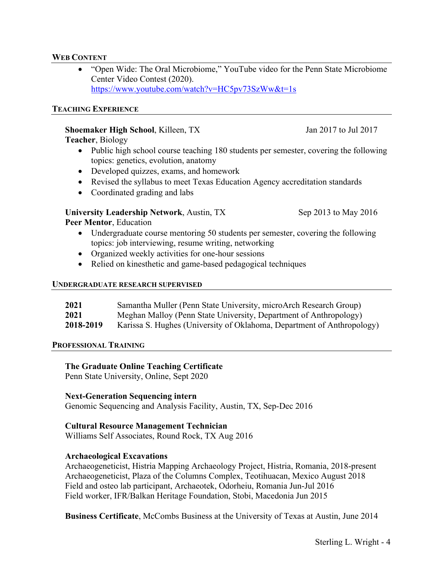# **WEB CONTENT**

• "Open Wide: The Oral Microbiome," YouTube video for the Penn State Microbiome Center Video Contest (2020). <https://www.youtube.com/watch?v=HC5pv73SzWw&t=1s>

# **TEACHING EXPERIENCE**

# **Shoemaker High School, Killeen, TX** Jan 2017 to Jul 2017

**Teacher**, Biology

- Public high school course teaching 180 students per semester, covering the following topics: genetics, evolution, anatomy
- Developed quizzes, exams, and homework
- Revised the syllabus to meet Texas Education Agency accreditation standards
- Coordinated grading and labs

# **University Leadership Network**, Austin, TX Sep 2013 to May 2016

**Peer Mentor**, Education

- Undergraduate course mentoring 50 students per semester, covering the following topics: job interviewing, resume writing, networking
- Organized weekly activities for one-hour sessions
- Relied on kinesthetic and game-based pedagogical techniques

#### **UNDERGRADUATE RESEARCH SUPERVISED**

| 2021      | Samantha Muller (Penn State University, microArch Research Group)      |
|-----------|------------------------------------------------------------------------|
| 2021      | Meghan Malloy (Penn State University, Department of Anthropology)      |
| 2018-2019 | Karissa S. Hughes (University of Oklahoma, Department of Anthropology) |

# **PROFESSIONAL TRAINING**

# **The Graduate Online Teaching Certificate**

Penn State University, Online, Sept 2020

# **Next-Generation Sequencing intern**

Genomic Sequencing and Analysis Facility, Austin, TX, Sep-Dec 2016

# **Cultural Resource Management Technician**

Williams Self Associates, Round Rock, TX Aug 2016

# **Archaeological Excavations**

Archaeogeneticist, Histria Mapping Archaeology Project, Histria, Romania, 2018-present Archaeogeneticist, Plaza of the Columns Complex, Teotihuacan, Mexico August 2018 Field and osteo lab participant, Archaeotek, Odorheiu, Romania Jun-Jul 2016 Field worker, IFR/Balkan Heritage Foundation, Stobi, Macedonia Jun 2015

**Business Certificate**, McCombs Business at the University of Texas at Austin, June 2014